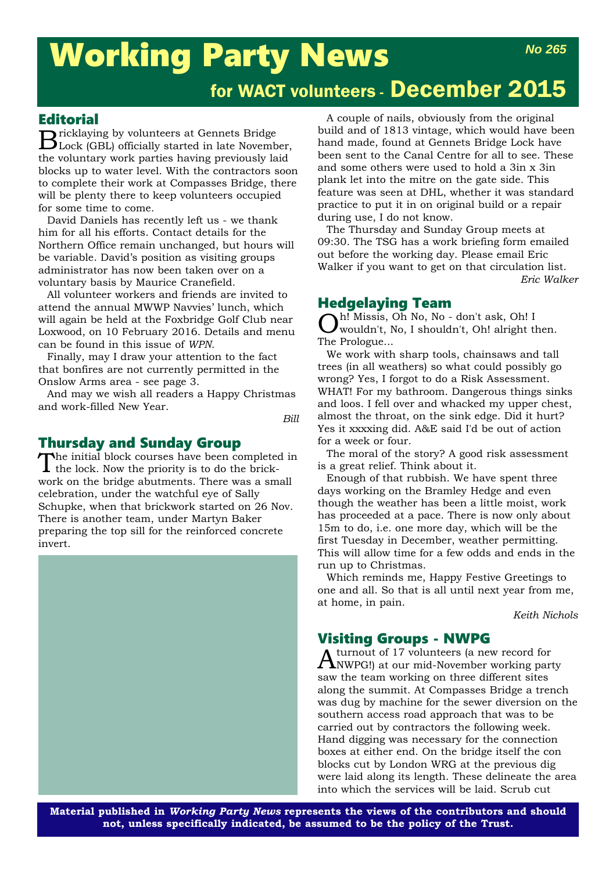## Working Party News *No 265*

# for WACT volunteers - December 2015

### **Editorial**

Bricklaying by volunteers at Gennets Bridge Lock (GBL) officially started in late November, the voluntary work parties having previously laid blocks up to water level. With the contractors soon to complete their work at Compasses Bridge, there will be plenty there to keep volunteers occupied for some time to come.

David Daniels has recently left us - we thank him for all his efforts. Contact details for the Northern Office remain unchanged, but hours will be variable. David's position as visiting groups administrator has now been taken over on a voluntary basis by Maurice Cranefield.

All volunteer workers and friends are invited to attend the annual MWWP Navvies' lunch, which will again be held at the Foxbridge Golf Club near Loxwood, on 10 February 2016. Details and menu can be found in this issue of *WPN*.

Finally, may I draw your attention to the fact that bonfires are not currently permitted in the Onslow Arms area - see page 3.

And may we wish all readers a Happy Christmas and work-filled New Year.

*Bill*

Thursday and Sunday Group<br>The initial block courses have been completed in The initial block courses have been completed in the lock. Now the priority is to do the brickwork on the bridge abutments. There was a small celebration, under the watchful eye of Sally Schupke, when that brickwork started on 26 Nov. There is another team, under Martyn Baker preparing the top sill for the reinforced concrete invert.



A couple of nails, obviously from the original build and of 1813 vintage, which would have been hand made, found at Gennets Bridge Lock have been sent to the Canal Centre for all to see. These and some others were used to hold a 3in x 3in plank let into the mitre on the gate side. This feature was seen at DHL, whether it was standard practice to put it in on original build or a repair during use, I do not know.

The Thursday and Sunday Group meets at 09:30. The TSG has a work briefing form emailed out before the working day. Please email Eric Walker if you want to get on that circulation list. *Eric Walker*

## Hedgelaying Team

Oh! Missis, Oh No, No - don't ask, Oh! I wouldn't, No, I shouldn't, Oh! alright then. The Prologue...

We work with sharp tools, chainsaws and tall trees (in all weathers) so what could possibly go wrong? Yes, I forgot to do a Risk Assessment. WHAT! For my bathroom. Dangerous things sinks and loos. I fell over and whacked my upper chest, almost the throat, on the sink edge. Did it hurt? Yes it xxxxing did. A&E said I'd be out of action for a week or four.

The moral of the story? A good risk assessment is a great relief. Think about it.

Enough of that rubbish. We have spent three days working on the Bramley Hedge and even though the weather has been a little moist, work has proceeded at a pace. There is now only about 15m to do, i.e. one more day, which will be the first Tuesday in December, weather permitting. This will allow time for a few odds and ends in the run up to Christmas.

Which reminds me, Happy Festive Greetings to one and all. So that is all until next year from me, at home, in pain.

*Keith Nichols*

## Visiting Groups - NWPG

Aturnout of 17 volunteers (a new record for NWPG!) at our mid-November working party saw the team working on three different sites along the summit. At Compasses Bridge a trench was dug by machine for the sewer diversion on the southern access road approach that was to be carried out by contractors the following week. Hand digging was necessary for the connection boxes at either end. On the bridge itself the con blocks cut by London WRG at the previous dig were laid along its length. These delineate the area into which the services will be laid. Scrub cut

**Material published in** *Working Party News* **represents the views of the contributors and should not, unless specifically indicated, be assumed to be the policy of the Trust.**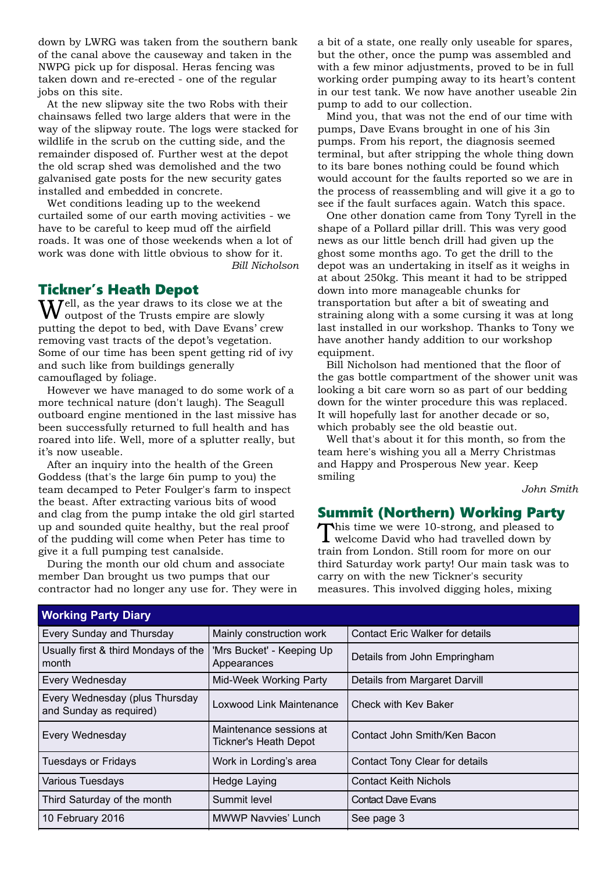down by LWRG was taken from the southern bank of the canal above the causeway and taken in the NWPG pick up for disposal. Heras fencing was taken down and re-erected - one of the regular jobs on this site.

At the new slipway site the two Robs with their chainsaws felled two large alders that were in the way of the slipway route. The logs were stacked for wildlife in the scrub on the cutting side, and the remainder disposed of. Further west at the depot the old scrap shed was demolished and the two galvanised gate posts for the new security gates installed and embedded in concrete.

Wet conditions leading up to the weekend curtailed some of our earth moving activities - we have to be careful to keep mud off the airfield roads. It was one of those weekends when a lot of work was done with little obvious to show for it. *Bill Nicholson* 

#### Tickner's Heath Depot

Well, as the year draws to its close we at the outpost of the Trusts empire are slowly putting the depot to bed, with Dave Evans' crew removing vast tracts of the depot's vegetation. Some of our time has been spent getting rid of ivy and such like from buildings generally camouflaged by foliage.

However we have managed to do some work of a more technical nature (don't laugh). The Seagull outboard engine mentioned in the last missive has been successfully returned to full health and has roared into life. Well, more of a splutter really, but it's now useable.

After an inquiry into the health of the Green Goddess (that's the large 6in pump to you) the team decamped to Peter Foulger's farm to inspect the beast. After extracting various bits of wood and clag from the pump intake the old girl started up and sounded quite healthy, but the real proof of the pudding will come when Peter has time to give it a full pumping test canalside.

During the month our old chum and associate member Dan brought us two pumps that our contractor had no longer any use for. They were in

a bit of a state, one really only useable for spares, but the other, once the pump was assembled and with a few minor adjustments, proved to be in full working order pumping away to its heart's content in our test tank. We now have another useable 2in pump to add to our collection.

Mind you, that was not the end of our time with pumps, Dave Evans brought in one of his 3in pumps. From his report, the diagnosis seemed terminal, but after stripping the whole thing down to its bare bones nothing could be found which would account for the faults reported so we are in the process of reassembling and will give it a go to see if the fault surfaces again. Watch this space.

One other donation came from Tony Tyrell in the shape of a Pollard pillar drill. This was very good news as our little bench drill had given up the ghost some months ago. To get the drill to the depot was an undertaking in itself as it weighs in at about 250kg. This meant it had to be stripped down into more manageable chunks for transportation but after a bit of sweating and straining along with a some cursing it was at long last installed in our workshop. Thanks to Tony we have another handy addition to our workshop equipment.

Bill Nicholson had mentioned that the floor of the gas bottle compartment of the shower unit was looking a bit care worn so as part of our bedding down for the winter procedure this was replaced. It will hopefully last for another decade or so, which probably see the old beastie out.

Well that's about it for this month, so from the team here's wishing you all a Merry Christmas and Happy and Prosperous New year. Keep smiling

*John Smith*

#### Summit (Northern) Working Party

This time we were 10-strong, and pleased to welcome David who had travelled down by train from London. Still room for more on our third Saturday work party! Our main task was to carry on with the new Tickner's security measures. This involved digging holes, mixing

| <b>Working Party Diary</b>                                |                                                                |                                        |  |  |
|-----------------------------------------------------------|----------------------------------------------------------------|----------------------------------------|--|--|
| <b>Every Sunday and Thursday</b>                          | Mainly construction work                                       | <b>Contact Eric Walker for details</b> |  |  |
| Usually first & third Mondays of the<br>month             | 'Mrs Bucket' - Keeping Up<br>Appearances                       | Details from John Empringham           |  |  |
| <b>Every Wednesday</b>                                    | Mid-Week Working Party                                         | Details from Margaret Darvill          |  |  |
| Every Wednesday (plus Thursday<br>and Sunday as required) | <b>Loxwood Link Maintenance</b><br><b>Check with Key Baker</b> |                                        |  |  |
| <b>Every Wednesday</b>                                    | Maintenance sessions at<br><b>Tickner's Heath Depot</b>        | Contact John Smith/Ken Bacon           |  |  |
| Tuesdays or Fridays                                       | Work in Lording's area                                         | Contact Tony Clear for details         |  |  |
| <b>Various Tuesdays</b>                                   | Hedge Laying                                                   | <b>Contact Keith Nichols</b>           |  |  |
| Third Saturday of the month                               | Summit level                                                   | <b>Contact Dave Evans</b>              |  |  |
| 10 February 2016                                          | <b>MWWP Navvies' Lunch</b><br>See page 3                       |                                        |  |  |